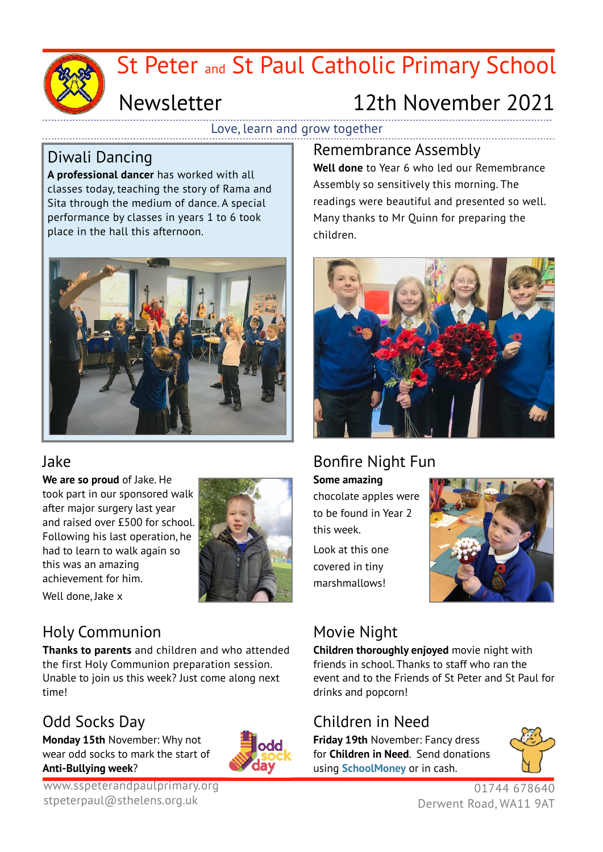

# St Peter and St Paul Catholic Primary School

# Newsletter

# 12th November 2021

Love, learn and grow together

### Diwali Dancing

**A professional dancer** has worked with all classes today, teaching the story of Rama and Sita through the medium of dance. A special performance by classes in years 1 to 6 took place in the hall this afternoon.



### Jake

**We are so proud** of Jake. He took part in our sponsored walk after major surgery last year and raised over £500 for school. Following his last operation, he had to learn to walk again so this was an amazing achievement for him.



Well done, Jake x

## Holy Communion

**Thanks to parents** and children and who attended the first Holy Communion preparation session. Unable to join us this week? Just come along next time!

## Odd Socks Day

**Monday 15th** November: Why not wear odd socks to mark the start of **Anti-Bullying week**?



www.sspeterandpaulprimary.org stpeterpaul@sthelens.org.uk

Remembrance Assembly **Well done** to Year 6 who led our Remembrance Assembly so sensitively this morning. The readings were beautiful and presented so well. Many thanks to Mr Quinn for preparing the children.



## Bonfire Night Fun

**Some amazing** chocolate apples were to be found in Year 2 this week.

Look at this one covered in tiny marshmallows!



## Movie Night

**Children thoroughly enjoyed** movie night with friends in school. Thanks to staff who ran the event and to the Friends of St Peter and St Paul for drinks and popcorn!

## Children in Need

**Friday 19th** November: Fancy dress for **Children in Need**. Send donations using **SchoolMoney** or in cash.